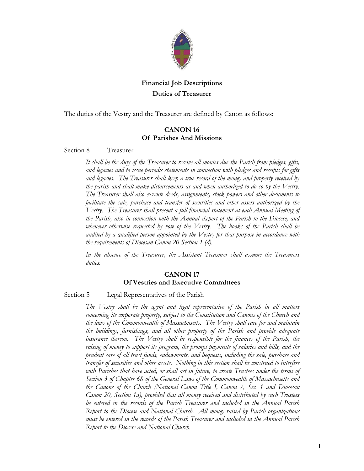

# **Financial Job Descriptions Duties of Treasurer**

The duties of the Vestry and the Treasurer are defined by Canon as follows:

## **CANON 16 Of Parishes And Missions**

#### Section 8 Treasurer

*It shall be the duty of the Treasurer to receive all monies due the Parish from pledges, gifts, and legacies and to issue periodic statements in connection with pledges and receipts for gifts and legacies. The Treasurer shall keep a true record of the money and property received by the parish and shall make disbursements as and when authorized to do so by the Vestry. The Treasurer shall also execute deeds, assignments, stock powers and other documents to facilitate the sale, purchase and transfer of securities and other assets authorized by the Vestry. The Treasurer shall present a full financial statement at each Annual Meeting of the Parish, also in connection with the Annual Report of the Parish to the Diocese, and whenever otherwise requested by vote of the Vestry. The books of the Parish shall be audited by a qualified person appointed by the Vestry for that purpose in accordance with the requirements of Diocesan Canon 20 Section 1 (d).*

*In the absence of the Treasurer, the Assistant Treasurer shall assume the Treasurers duties.*

## **CANON 17 Of Vestries and Executive Committees**

#### Section 5 Legal Representatives of the Parish

*The Vestry shall be the agent and legal representative of the Parish in all matters concerning its corporate property, subject to the Constitution and Canons of the Church and the laws of the Commonwealth of Massachusetts. The Vestry shall care for and maintain the buildings, furnishings, and all other property of the Parish and provide adequate insurance thereon.* The Vestry shall be responsible for the finances of the Parish, the *raising of money to support its program, the prompt payments of salaries and bills, and the prudent care of all trust funds, endowments, and bequests, including the sale, purchase and transfer of securities and other assets. Nothing in this section shall be construed to interfere with Parishes that have acted, or shall act in future, to create Trustees under the terms of Section 3 of Chapter 68 of the General Laws of the Commonwealth of Massachusetts and the Canons of the Church (National Canon Title I, Canon 7, Sec. 1 and Diocesan Canon 20, Section 1a), provided that all money received and distributed by such Trustees be entered in the records of the Parish Treasurer and included in the Annual Parish Report to the Diocese and National Church. All money raised by Parish organizations must be entered in the records of the Parish Treasurer and included in the Annual Parish Report to the Diocese and National Church.*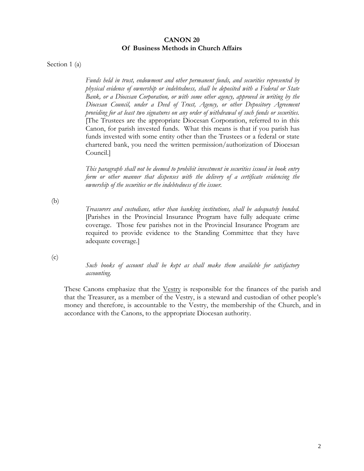### **CANON 20 Of Business Methods in Church Affairs**

Section 1 (a)

*Funds held in trust, endowment and other permanent funds, and securities represented by physical evidence of ownership or indebtedness, shall be deposited with a Federal or State Bank, or a Diocesan Corporation, or with some other agency, approved in writing by the Diocesan Council, under a Deed of Trust, Agency, or other Depository Agreement providing for at least two signatures on any order of withdrawal of such funds or securities.*  [The Trustees are the appropriate Diocesan Corporation, referred to in this Canon, for parish invested funds. What this means is that if you parish has funds invested with some entity other than the Trustees or a federal or state chartered bank, you need the written permission/authorization of Diocesan Council.]

*This paragraph shall not be deemed to prohibit investment in securities issued in book entry form or other manner that dispenses with the delivery of a certificate evidencing the ownership of the securities or the indebtedness of the issuer.*

(b)

*Treasurers and custodians, other than banking institutions, shall be adequately bonded.* [Parishes in the Provincial Insurance Program have fully adequate crime coverage. Those few parishes not in the Provincial Insurance Program are required to provide evidence to the Standing Committee that they have adequate coverage.]

(c)

*Such books of account shall be kept as shall make them available for satisfactory accounting.*

These Canons emphasize that the Vestry is responsible for the finances of the parish and that the Treasurer, as a member of the Vestry, is a steward and custodian of other people's money and therefore, is accountable to the Vestry, the membership of the Church, and in accordance with the Canons, to the appropriate Diocesan authority.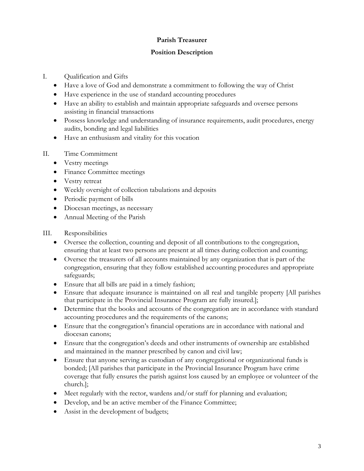## **Parish Treasurer**

## **Position Description**

- I. Qualification and Gifts
	- Have a love of God and demonstrate a commitment to following the way of Christ
	- Have experience in the use of standard accounting procedures
	- Have an ability to establish and maintain appropriate safeguards and oversee persons assisting in financial transactions
	- Possess knowledge and understanding of insurance requirements, audit procedures, energy audits, bonding and legal liabilities
	- Have an enthusiasm and vitality for this vocation
- II. Time Commitment
	- Vestry meetings
	- Finance Committee meetings
	- Vestry retreat
	- Weekly oversight of collection tabulations and deposits
	- Periodic payment of bills
	- Diocesan meetings, as necessary
	- Annual Meeting of the Parish
- III. Responsibilities
	- Oversee the collection, counting and deposit of all contributions to the congregation, ensuring that at least two persons are present at all times during collection and counting;
	- Oversee the treasurers of all accounts maintained by any organization that is part of the congregation, ensuring that they follow established accounting procedures and appropriate safeguards;
	- Ensure that all bills are paid in a timely fashion;
	- Ensure that adequate insurance is maintained on all real and tangible property [All parishes that participate in the Provincial Insurance Program are fully insured.];
	- Determine that the books and accounts of the congregation are in accordance with standard accounting procedures and the requirements of the canons;
	- Ensure that the congregation's financial operations are in accordance with national and diocesan canons;
	- Ensure that the congregation's deeds and other instruments of ownership are established and maintained in the manner prescribed by canon and civil law;
	- Ensure that anyone serving as custodian of any congregational or organizational funds is bonded; [All parishes that participate in the Provincial Insurance Program have crime coverage that fully ensures the parish against loss caused by an employee or volunteer of the church.];
	- Meet regularly with the rector, wardens and/or staff for planning and evaluation;
	- Develop, and be an active member of the Finance Committee;
	- Assist in the development of budgets;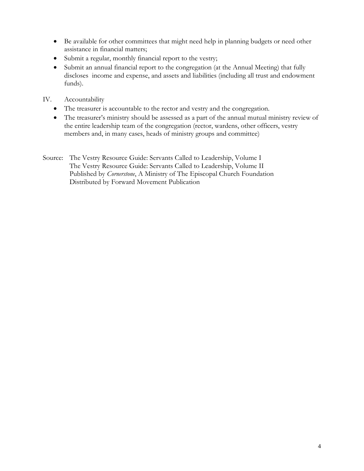- Be available for other committees that might need help in planning budgets or need other assistance in financial matters;
- Submit a regular, monthly financial report to the vestry;
- Submit an annual financial report to the congregation (at the Annual Meeting) that fully discloses income and expense, and assets and liabilities (including all trust and endowment funds).
- IV. Accountability
	- The treasurer is accountable to the rector and vestry and the congregation.
	- The treasurer's ministry should be assessed as a part of the annual mutual ministry review of the entire leadership team of the congregation (rector, wardens, other officers, vestry members and, in many cases, heads of ministry groups and committee)
- Source: The Vestry Resource Guide: Servants Called to Leadership, Volume I The Vestry Resource Guide: Servants Called to Leadership, Volume II Published by *Cornerstone*, A Ministry of The Episcopal Church Foundation Distributed by Forward Movement Publication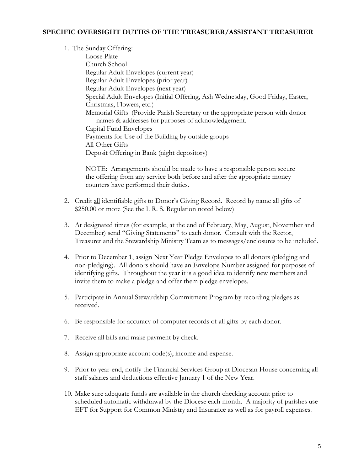## **SPECIFIC OVERSIGHT DUTIES OF THE TREASURER/ASSISTANT TREASURER**

1. The Sunday Offering: Loose Plate Church School Regular Adult Envelopes (current year) Regular Adult Envelopes (prior year) Regular Adult Envelopes (next year) Special Adult Envelopes (Initial Offering, Ash Wednesday, Good Friday, Easter, Christmas, Flowers, etc.) Memorial Gifts (Provide Parish Secretary or the appropriate person with donor names & addresses for purposes of acknowledgement. Capital Fund Envelopes Payments for Use of the Building by outside groups All Other Gifts Deposit Offering in Bank (night depository)

NOTE: Arrangements should be made to have a responsible person secure the offering from any service both before and after the appropriate money counters have performed their duties.

- 2. Credit all identifiable gifts to Donor's Giving Record. Record by name all gifts of \$250.00 or more (See the I. R. S. Regulation noted below)
- 3. At designated times (for example, at the end of February, May, August, November and December) send "Giving Statements" to each donor. Consult with the Rector, Treasurer and the Stewardship Ministry Team as to messages/enclosures to be included.
- 4. Prior to December 1, assign Next Year Pledge Envelopes to all donors (pledging and non-pledging). All donors should have an Envelope Number assigned for purposes of identifying gifts. Throughout the year it is a good idea to identify new members and invite them to make a pledge and offer them pledge envelopes.
- 5. Participate in Annual Stewardship Commitment Program by recording pledges as received.
- 6. Be responsible for accuracy of computer records of all gifts by each donor.
- 7. Receive all bills and make payment by check.
- 8. Assign appropriate account code(s), income and expense.
- 9. Prior to year-end, notify the Financial Services Group at Diocesan House concerning all staff salaries and deductions effective January 1 of the New Year.
- 10. Make sure adequate funds are available in the church checking account prior to scheduled automatic withdrawal by the Diocese each month. A majority of parishes use EFT for Support for Common Ministry and Insurance as well as for payroll expenses.